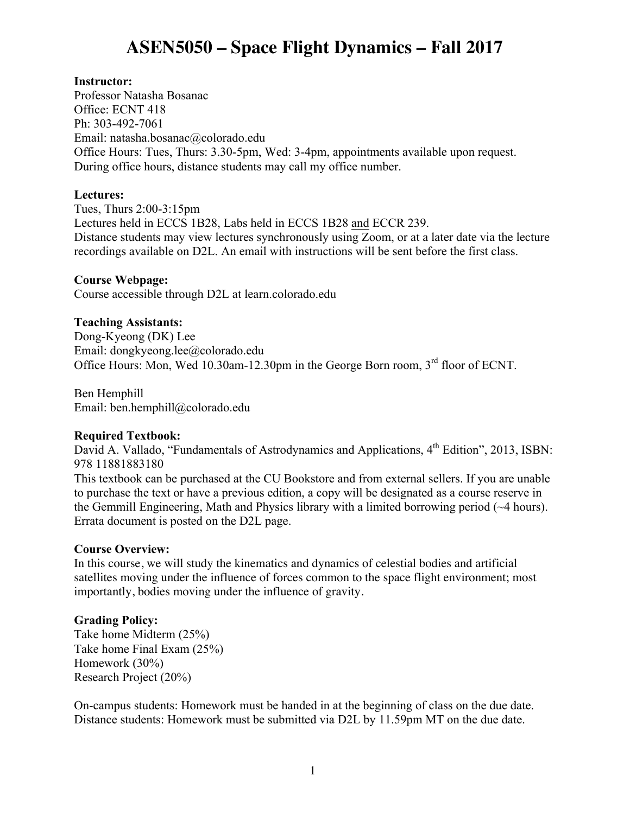# **ASEN5050 – Space Flight Dynamics – Fall 2017**

## **Instructor:**

Professor Natasha Bosanac Office: ECNT 418 Ph: 303-492-7061 Email: natasha.bosanac@colorado.edu Office Hours: Tues, Thurs: 3.30-5pm, Wed: 3-4pm, appointments available upon request. During office hours, distance students may call my office number.

### **Lectures:**

Tues, Thurs 2:00-3:15pm Lectures held in ECCS 1B28, Labs held in ECCS 1B28 and ECCR 239. Distance students may view lectures synchronously using Zoom, or at a later date via the lecture recordings available on D2L. An email with instructions will be sent before the first class.

## **Course Webpage:**

Course accessible through D2L at learn.colorado.edu

## **Teaching Assistants:**

Dong-Kyeong (DK) Lee Email: dongkyeong.lee@colorado.edu Office Hours: Mon, Wed 10.30am-12.30pm in the George Born room, 3<sup>rd</sup> floor of ECNT.

Ben Hemphill Email: ben.hemphill@colorado.edu

#### **Required Textbook:**

David A. Vallado, "Fundamentals of Astrodynamics and Applications, 4<sup>th</sup> Edition", 2013, ISBN: 978 11881883180

This textbook can be purchased at the CU Bookstore and from external sellers. If you are unable to purchase the text or have a previous edition, a copy will be designated as a course reserve in the Gemmill Engineering, Math and Physics library with a limited borrowing period (~4 hours). Errata document is posted on the D2L page.

#### **Course Overview:**

In this course, we will study the kinematics and dynamics of celestial bodies and artificial satellites moving under the influence of forces common to the space flight environment; most importantly, bodies moving under the influence of gravity.

# **Grading Policy:**

Take home Midterm (25%) Take home Final Exam (25%) Homework (30%) Research Project (20%)

On-campus students: Homework must be handed in at the beginning of class on the due date. Distance students: Homework must be submitted via D2L by 11.59pm MT on the due date.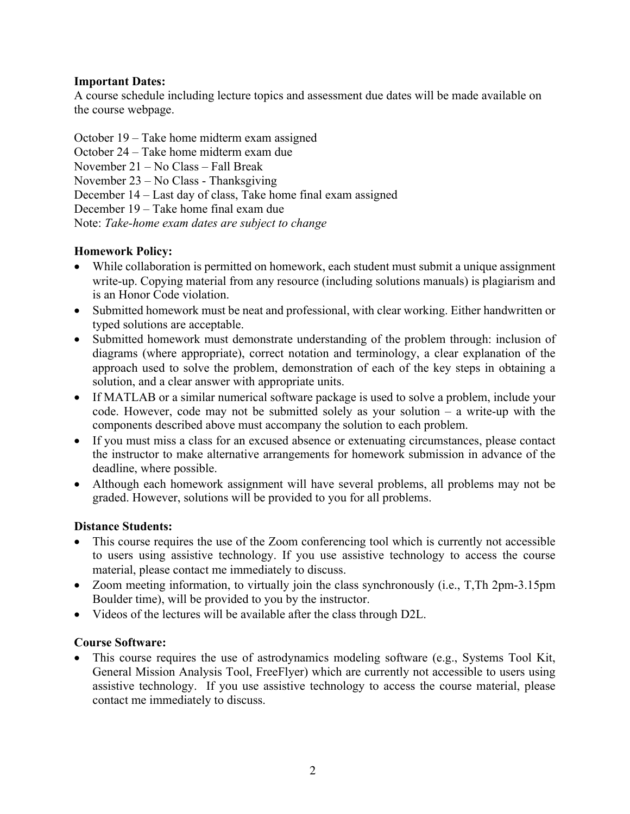# **Important Dates:**

A course schedule including lecture topics and assessment due dates will be made available on the course webpage.

October 19 – Take home midterm exam assigned

October 24 – Take home midterm exam due

November 21 – No Class – Fall Break

November 23 – No Class - Thanksgiving

December 14 – Last day of class, Take home final exam assigned

December 19 – Take home final exam due

Note: *Take-home exam dates are subject to change*

# **Homework Policy:**

- While collaboration is permitted on homework, each student must submit a unique assignment write-up. Copying material from any resource (including solutions manuals) is plagiarism and is an Honor Code violation.
- Submitted homework must be neat and professional, with clear working. Either handwritten or typed solutions are acceptable.
- Submitted homework must demonstrate understanding of the problem through: inclusion of diagrams (where appropriate), correct notation and terminology, a clear explanation of the approach used to solve the problem, demonstration of each of the key steps in obtaining a solution, and a clear answer with appropriate units.
- If MATLAB or a similar numerical software package is used to solve a problem, include your code. However, code may not be submitted solely as your solution – a write-up with the components described above must accompany the solution to each problem.
- If you must miss a class for an excused absence or extenuating circumstances, please contact the instructor to make alternative arrangements for homework submission in advance of the deadline, where possible.
- Although each homework assignment will have several problems, all problems may not be graded. However, solutions will be provided to you for all problems.

# **Distance Students:**

- This course requires the use of the Zoom conferencing tool which is currently not accessible to users using assistive technology. If you use assistive technology to access the course material, please contact me immediately to discuss.
- Zoom meeting information, to virtually join the class synchronously (i.e., T,Th 2pm-3.15pm Boulder time), will be provided to you by the instructor.
- Videos of the lectures will be available after the class through D2L.

# **Course Software:**

• This course requires the use of astrodynamics modeling software (e.g., Systems Tool Kit, General Mission Analysis Tool, FreeFlyer) which are currently not accessible to users using assistive technology. If you use assistive technology to access the course material, please contact me immediately to discuss.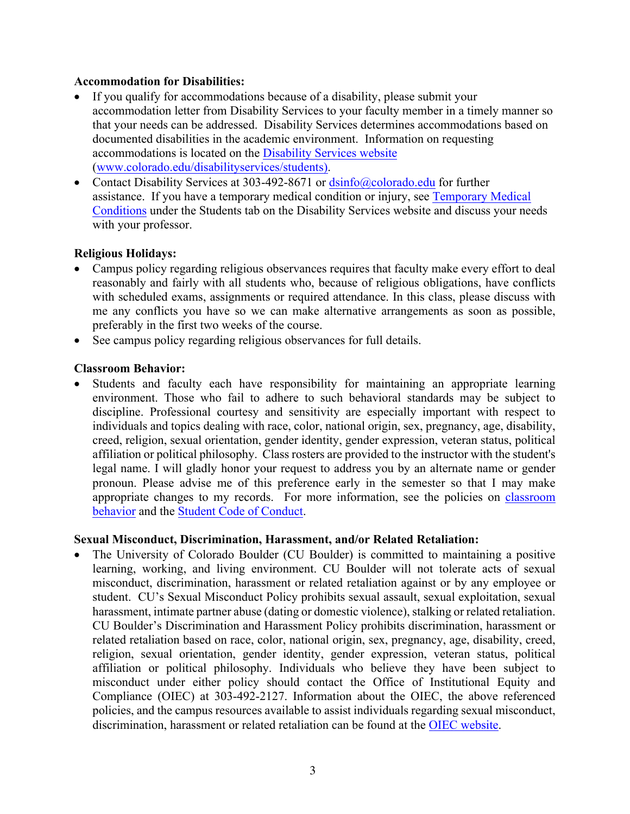## **Accommodation for Disabilities:**

- If you qualify for accommodations because of a disability, please submit your accommodation letter from Disability Services to your faculty member in a timely manner so that your needs can be addressed. Disability Services determines accommodations based on documented disabilities in the academic environment. Information on requesting accommodations is located on the Disability Services website (www.colorado.edu/disabilityservices/students).
- Contact Disability Services at 303-492-8671 or dsinfo@colorado.edu for further assistance. If you have a temporary medical condition or injury, see Temporary Medical Conditions under the Students tab on the Disability Services website and discuss your needs with your professor.

## **Religious Holidays:**

- Campus policy regarding religious observances requires that faculty make every effort to deal reasonably and fairly with all students who, because of religious obligations, have conflicts with scheduled exams, assignments or required attendance. In this class, please discuss with me any conflicts you have so we can make alternative arrangements as soon as possible, preferably in the first two weeks of the course.
- See campus policy regarding religious observances for full details.

## **Classroom Behavior:**

Students and faculty each have responsibility for maintaining an appropriate learning environment. Those who fail to adhere to such behavioral standards may be subject to discipline. Professional courtesy and sensitivity are especially important with respect to individuals and topics dealing with race, color, national origin, sex, pregnancy, age, disability, creed, religion, sexual orientation, gender identity, gender expression, veteran status, political affiliation or political philosophy. Class rosters are provided to the instructor with the student's legal name. I will gladly honor your request to address you by an alternate name or gender pronoun. Please advise me of this preference early in the semester so that I may make appropriate changes to my records. For more information, see the policies on classroom behavior and the Student Code of Conduct.

#### **Sexual Misconduct, Discrimination, Harassment, and/or Related Retaliation:**

• The University of Colorado Boulder (CU Boulder) is committed to maintaining a positive learning, working, and living environment. CU Boulder will not tolerate acts of sexual misconduct, discrimination, harassment or related retaliation against or by any employee or student. CU's Sexual Misconduct Policy prohibits sexual assault, sexual exploitation, sexual harassment, intimate partner abuse (dating or domestic violence), stalking or related retaliation. CU Boulder's Discrimination and Harassment Policy prohibits discrimination, harassment or related retaliation based on race, color, national origin, sex, pregnancy, age, disability, creed, religion, sexual orientation, gender identity, gender expression, veteran status, political affiliation or political philosophy. Individuals who believe they have been subject to misconduct under either policy should contact the Office of Institutional Equity and Compliance (OIEC) at 303-492-2127. Information about the OIEC, the above referenced policies, and the campus resources available to assist individuals regarding sexual misconduct, discrimination, harassment or related retaliation can be found at the OIEC website.